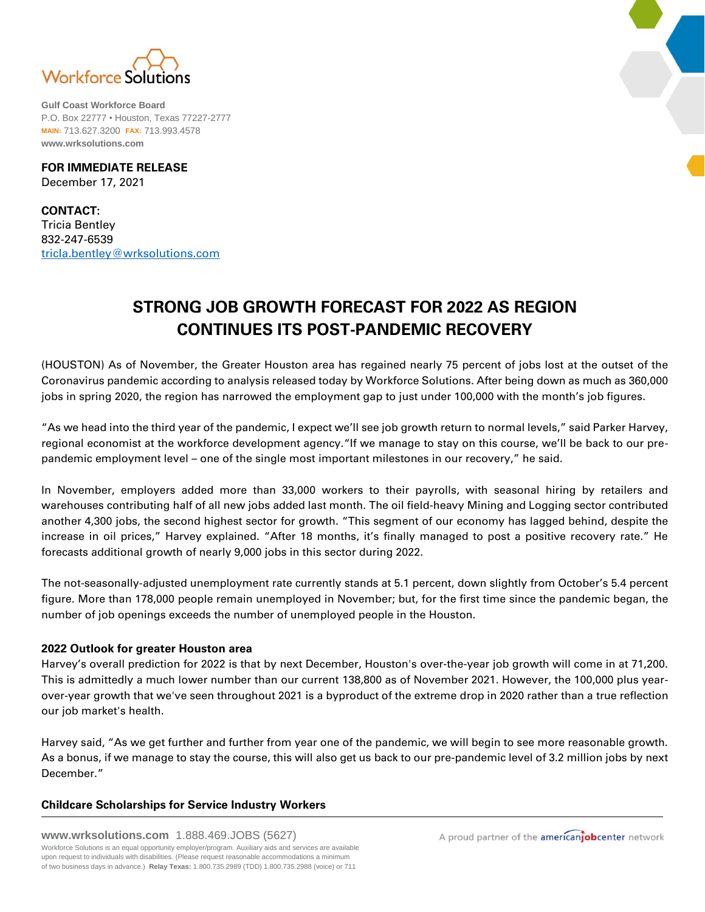

**Gulf Coast Workforce Board** P.O. Box 22777 • Houston, Texas 77227-2777 **MAIN:** 713.627.3200 **FAX:** 713.993.4578 **www.wrksolutions.com**

**FOR IMMEDIATE RELEASE** December 17, 2021

**CONTACT:** Tricia Bentley 832-247-6539 [tricIa.bentley@wrksolutions.com](mailto:tricIa.bentley@wrksolutions.com)

## **STRONG JOB GROWTH FORECAST FOR 2022 AS REGION CONTINUES ITS POST-PANDEMIC RECOVERY**

(HOUSTON) As of November, the Greater Houston area has regained nearly 75 percent of jobs lost at the outset of the Coronavirus pandemic according to analysis released today by Workforce Solutions. After being down as much as 360,000 jobs in spring 2020, the region has narrowed the employment gap to just under 100,000 with the month's job figures.

"As we head into the third year of the pandemic, I expect we'll see job growth return to normal levels," said Parker Harvey, regional economist at the workforce development agency."If we manage to stay on this course, we'll be back to our prepandemic employment level – one of the single most important milestones in our recovery," he said.

In November, employers added more than 33,000 workers to their payrolls, with seasonal hiring by retailers and warehouses contributing half of all new jobs added last month. The oil field-heavy Mining and Logging sector contributed another 4,300 jobs, the second highest sector for growth. "This segment of our economy has lagged behind, despite the increase in oil prices," Harvey explained. "After 18 months, it's finally managed to post a positive recovery rate." He forecasts additional growth of nearly 9,000 jobs in this sector during 2022.

The not-seasonally-adjusted unemployment rate currently stands at 5.1 percent, down slightly from October's 5.4 percent figure. More than 178,000 people remain unemployed in November; but, for the first time since the pandemic began, the number of job openings exceeds the number of unemployed people in the Houston.

## **2022 Outlook for greater Houston area**

Harvey's overall prediction for 2022 is that by next December, Houston's over-the-year job growth will come in at 71,200. This is admittedly a much lower number than our current 138,800 as of November 2021. However, the 100,000 plus yearover-year growth that we've seen throughout 2021 is a byproduct of the extreme drop in 2020 rather than a true reflection our job market's health.

Harvey said, "As we get further and further from year one of the pandemic, we will begin to see more reasonable growth. As a bonus, if we manage to stay the course, this will also get us back to our pre-pandemic level of 3.2 million jobs by next December."

## **Childcare Scholarships for Service Industry Workers**